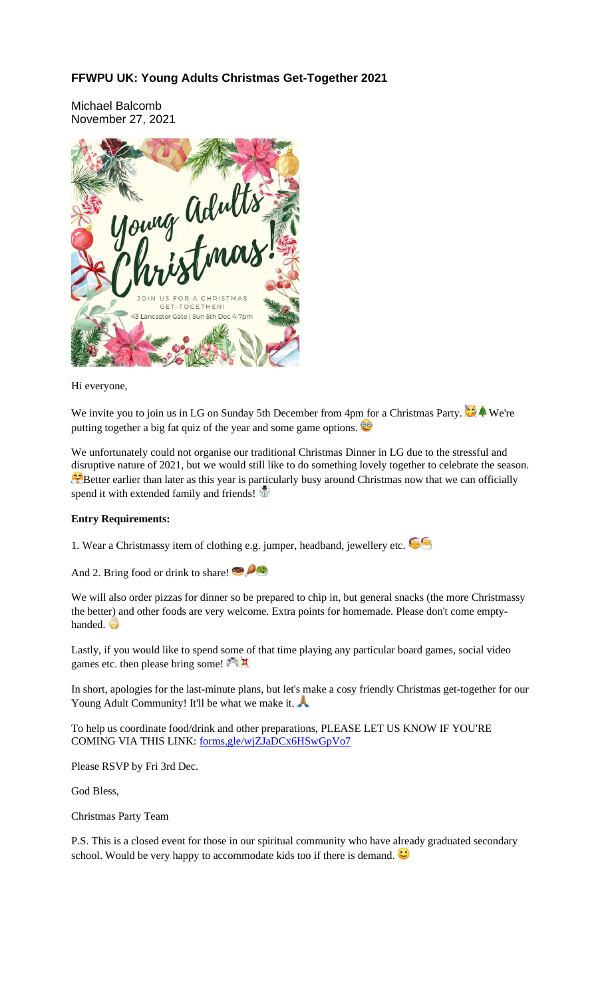## **FFWPU UK: Young Adults Christmas Get-Together 2021**

Michael Balcomb November 27, 2021



Hi everyone,

We invite you to join us in LG on Sunday 5th December from 4pm for a Christmas Party.  $\bullet \bullet$  We're putting together a big fat quiz of the year and some game options.

We unfortunately could not organise our traditional Christmas Dinner in LG due to the stressful and disruptive nature of 2021, but we would still like to do something lovely together to celebrate the season. **B**etter earlier than later as this year is particularly busy around Christmas now that we can officially spend it with extended family and friends!

## **Entry Requirements:**

1. Wear a Christmassy item of clothing e.g. jumper, headband, jewellery etc.

And 2. Bring food or drink to share!

We will also order pizzas for dinner so be prepared to chip in, but general snacks (the more Christmassy the better) and other foods are very welcome. Extra points for homemade. Please don't come emptyhanded.

Lastly, if you would like to spend some of that time playing any particular board games, social video games etc. then please bring some!

In short, apologies for the last-minute plans, but let's make a cosy friendly Christmas get-together for our Young Adult Community! It'll be what we make it.

To help us coordinate food/drink and other preparations, PLEASE LET US KNOW IF YOU'RE COMING VIA THIS LINK: forms,gle/wjZJaDCx6HSwGpVo7

Please RSVP by Fri 3rd Dec.

God Bless,

Christmas Party Team

P.S. This is a closed event for those in our spiritual community who have already graduated secondary school. Would be very happy to accommodate kids too if there is demand.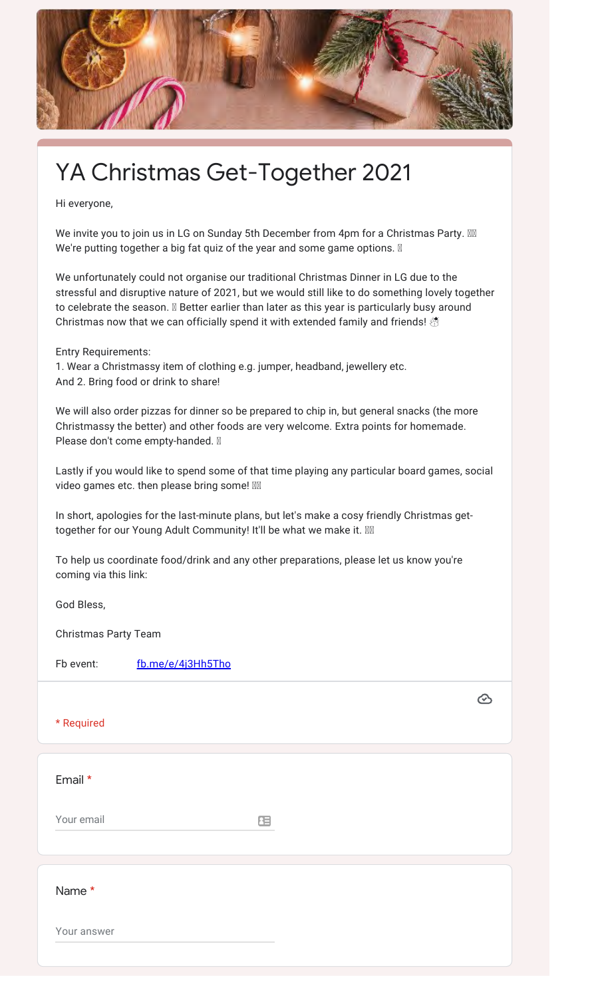

## YA Christmas Get-Together 2021

Hi everyone,

We invite you to join us in LG on Sunday 5th December from 4pm for a Christmas Party. We're putting together a big fat quiz of the year and some game options.  $\mathbb N$ 

We unfortunately could not organise our traditional Christmas Dinner in LG due to the stressful and disruptive nature of 2021, but we would still like to do something lovely together to celebrate the season. **Ø** Better earlier than later as this year is particularly busy around Christmas now that we can officially spend it with extended family and friends! **<a>** 

Entry Requirements:

1. Wear a Christmassy item of clothing e.g. jumper, headband, jewellery etc. And 2. Bring food or drink to share!

We will also order pizzas for dinner so be prepared to chip in, but general snacks (the more Christmassy the better) and other foods are very welcome. Extra points for homemade. Please don't come empty-handed. <a>

Lastly if you would like to spend some of that time playing any particular board games, social video games etc. then please bring some!  $M$ 

In short, apologies for the last-minute plans, but let's make a cosy friendly Christmas gettogether for our Young Adult Community! It'll be what we make it.  $\mathbb N$ 

To help us coordinate food/drink and any other preparations, please let us know you're coming via this link:

God Bless,

Christmas Party Team

Fb event: fb.me/e/4j3Hh5Tho

\* Required

Email \*

Your email

田

 $\bigcirc$ 

Name \*

Your answer